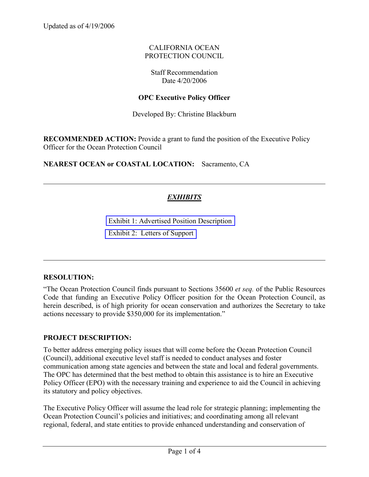Updated as of 4/19/2006

### CALIFORNIA OCEAN PROTECTION COUNCIL

### Staff Recommendation Date 4/20/2006

### **OPC Executive Policy Officer**

Developed By: Christine Blackburn

**RECOMMENDED ACTION:** Provide a grant to fund the position of the Executive Policy Officer for the Ocean Protection Council

**NEAREST OCEAN or COASTAL LOCATION:** Sacramento, CA

# *EXHIBITS*

Exhibit 1: Advertised Position Description Exhibit 2: Letters of Support

### **RESOLUTION:**

"The Ocean Protection Council finds pursuant to Sections 35600 *et seq.* of the Public Resources Code that funding an Executive Policy Officer position for the Ocean Protection Council, as herein described, is of high priority for ocean conservation and authorizes the Secretary to take actions necessary to provide \$350,000 for its implementation."

### **PROJECT DESCRIPTION:**

To better address emerging policy issues that will come before the Ocean Protection Council (Council), additional executive level staff is needed to conduct analyses and foster communication among state agencies and between the state and local and federal governments. The OPC has determined that the best method to obtain this assistance is to hire an Executive Policy Officer (EPO) with the necessary training and experience to aid the Council in achieving its statutory and policy objectives.

The Executive Policy Officer will assume the lead role for strategic planning; implementing the Ocean Protection Council's policies and initiatives; and coordinating among all relevant regional, federal, and state entities to provide enhanced understanding and conservation of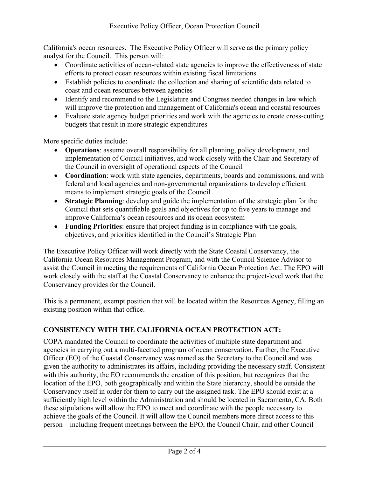California's ocean resources. The Executive Policy Officer will serve as the primary policy analyst for the Council. This person will:

- Coordinate activities of ocean-related state agencies to improve the effectiveness of state efforts to protect ocean resources within existing fiscal limitations
- Establish policies to coordinate the collection and sharing of scientific data related to coast and ocean resources between agencies
- Identify and recommend to the Legislature and Congress needed changes in law which will improve the protection and management of California's ocean and coastal resources
- Evaluate state agency budget priorities and work with the agencies to create cross-cutting budgets that result in more strategic expenditures

More specific duties include:

- **Operations**: assume overall responsibility for all planning, policy development, and implementation of Council initiatives, and work closely with the Chair and Secretary of the Council in oversight of operational aspects of the Council
- **Coordination**: work with state agencies, departments, boards and commissions, and with federal and local agencies and non-governmental organizations to develop efficient means to implement strategic goals of the Council
- **Strategic Planning**: develop and guide the implementation of the strategic plan for the Council that sets quantifiable goals and objectives for up to five years to manage and improve California's ocean resources and its ocean ecosystem
- **Funding Priorities**: ensure that project funding is in compliance with the goals, objectives, and priorities identified in the Council's Strategic Plan

The Executive Policy Officer will work directly with the State Coastal Conservancy, the California Ocean Resources Management Program, and with the Council Science Advisor to assist the Council in meeting the requirements of California Ocean Protection Act. The EPO will work closely with the staff at the Coastal Conservancy to enhance the project-level work that the Conservancy provides for the Council.

This is a permanent, exempt position that will be located within the Resources Agency, filling an existing position within that office.

## **CONSISTENCY WITH THE CALIFORNIA OCEAN PROTECTION ACT:**

COPA mandated the Council to coordinate the activities of multiple state department and agencies in carrying out a multi-facetted program of ocean conservation. Further, the Executive Officer (EO) of the Coastal Conservancy was named as the Secretary to the Council and was given the authority to administrates its affairs, including providing the necessary staff. Consistent with this authority, the EO recommends the creation of this position, but recognizes that the location of the EPO, both geographically and within the State hierarchy, should be outside the Conservancy itself in order for them to carry out the assigned task. The EPO should exist at a sufficiently high level within the Administration and should be located in Sacramento, CA. Both these stipulations will allow the EPO to meet and coordinate with the people necessary to achieve the goals of the Council. It will allow the Council members more direct access to this person—including frequent meetings between the EPO, the Council Chair, and other Council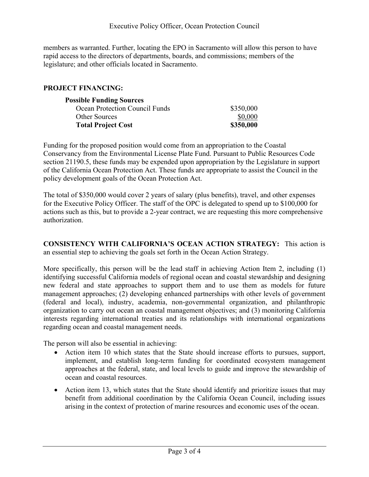members as warranted. Further, locating the EPO in Sacramento will allow this person to have rapid access to the directors of departments, boards, and commissions; members of the legislature; and other officials located in Sacramento.

### **PROJECT FINANCING:**

| <b>Possible Funding Sources</b> |           |
|---------------------------------|-----------|
| Ocean Protection Council Funds  | \$350,000 |
| <b>Other Sources</b>            | \$0,000   |
| <b>Total Project Cost</b>       | \$350,000 |

Funding for the proposed position would come from an appropriation to the Coastal Conservancy from the Environmental License Plate Fund. Pursuant to Public Resources Code section 21190.5, these funds may be expended upon appropriation by the Legislature in support of the California Ocean Protection Act. These funds are appropriate to assist the Council in the policy development goals of the Ocean Protection Act.

The total of \$350,000 would cover 2 years of salary (plus benefits), travel, and other expenses for the Executive Policy Officer. The staff of the OPC is delegated to spend up to \$100,000 for actions such as this, but to provide a 2-year contract, we are requesting this more comprehensive authorization.

**CONSISTENCY WITH CALIFORNIA'S OCEAN ACTION STRATEGY:** This action is an essential step to achieving the goals set forth in the Ocean Action Strategy.

More specifically, this person will be the lead staff in achieving Action Item 2, including (1) identifying successful California models of regional ocean and coastal stewardship and designing new federal and state approaches to support them and to use them as models for future management approaches; (2) developing enhanced partnerships with other levels of government (federal and local), industry, academia, non-governmental organization, and philanthropic organization to carry out ocean an coastal management objectives; and (3) monitoring California interests regarding international treaties and its relationships with international organizations regarding ocean and coastal management needs.

The person will also be essential in achieving:

- Action item 10 which states that the State should increase efforts to pursues, support, implement, and establish long-term funding for coordinated ecosystem management approaches at the federal, state, and local levels to guide and improve the stewardship of ocean and coastal resources.
- Action item 13, which states that the State should identify and prioritize issues that may benefit from additional coordination by the California Ocean Council, including issues arising in the context of protection of marine resources and economic uses of the ocean.